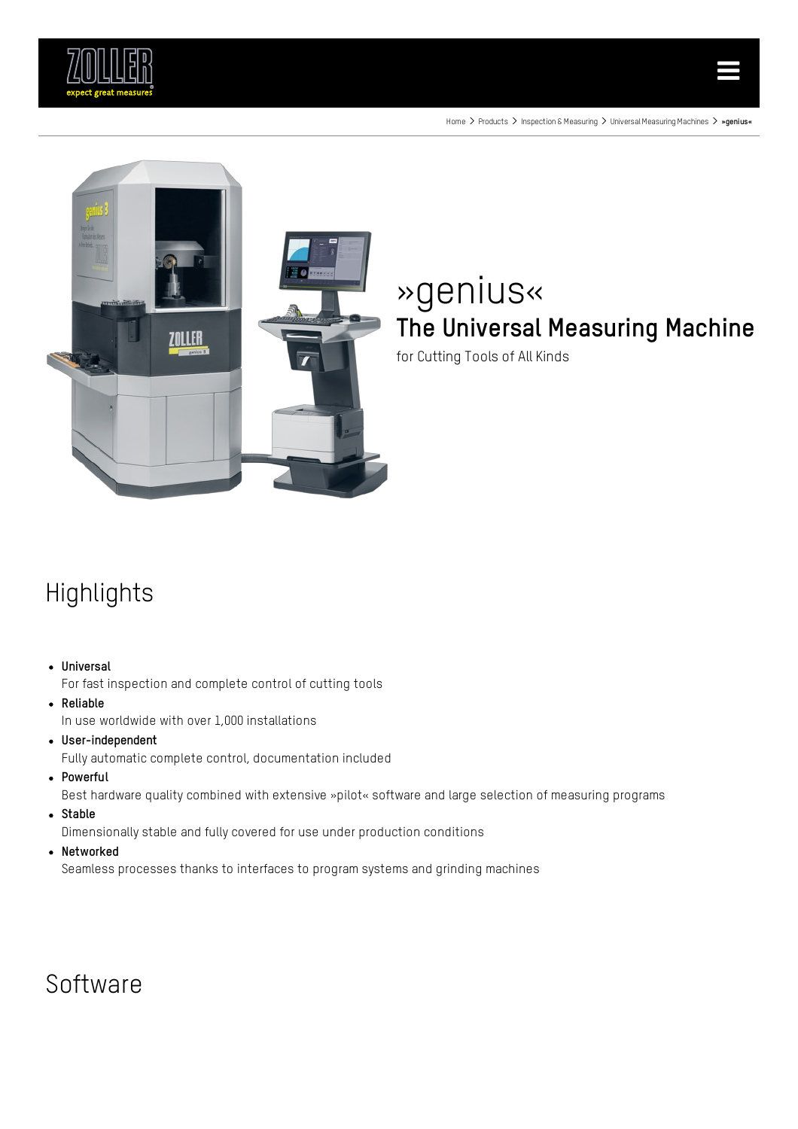





# »genius« The Universal Measuring Machine

for Cutting Tools of All Kinds

# Highlights

### Universal

For fast inspection and complete control of cutting tools

Reliable

In use worldwide with over 1,000 installations

- User-independent Fully automatic complete control, documentation included
- Powerful

Best hardware quality combined with extensive »pilot« software and large selection of measuring programs

• Stable

Dimensionally stable and fully covered for use under production conditions

• Networked

Seamless processes thanks to interfaces to program systems and grinding machines

### **Software**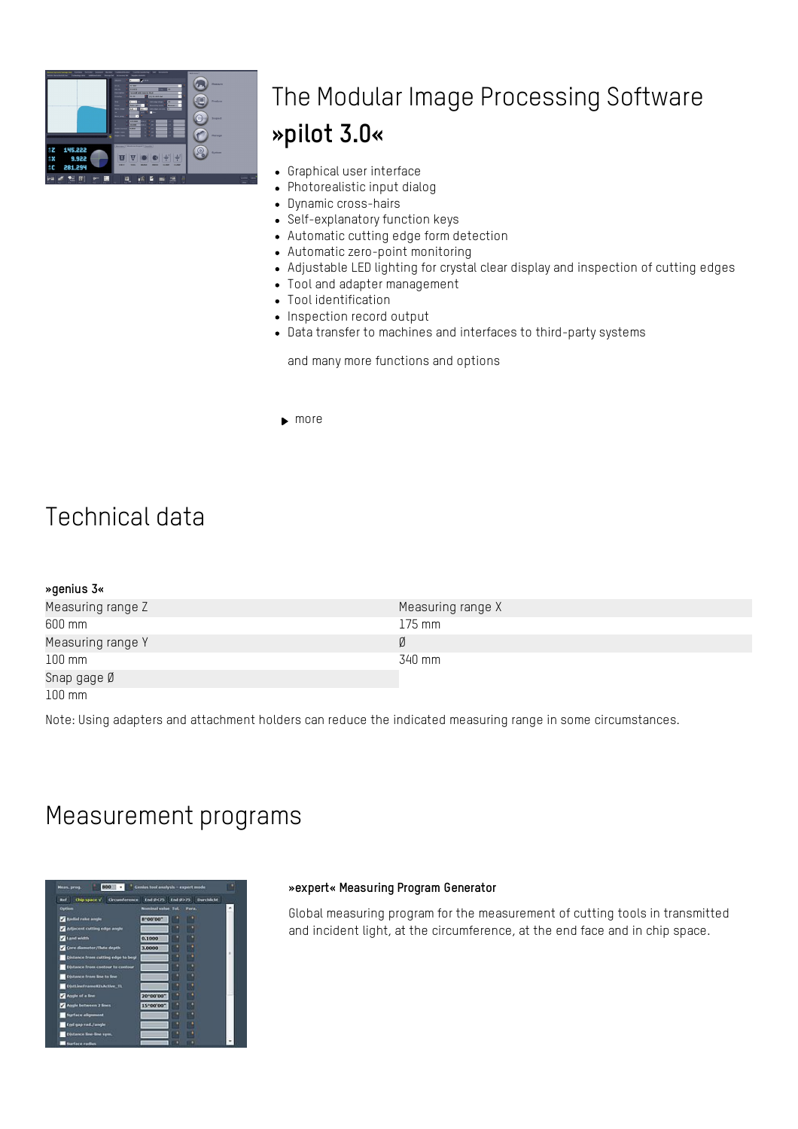

# The Modular Image Processing Software »pilot 3.0«

- Graphical user interface
- Photorealistic input dialog
- Dynamic cross-hairs
- Self-explanatory function keys
- Automatic cutting edge form detection
- Automatic zero-point monitoring
- Adjustable LED lighting for crystal clear display and inspection of cutting edges
- Tool and adapter management
- Tool identification
- Inspection record output
- Data transfer to machines and interfaces to third-party systems

and many more functions and options

 $\blacktriangleright$  [more](https://www.zoller.info/us/products/presetting-measuring/image-processing/pilot-30.html)

### Technical data

### »genius 3«

| Measuring range Z | Measuring range X |
|-------------------|-------------------|
| 600 mm            | 175 mm            |
| Measuring range Y |                   |
| $100 \text{ mm}$  | 340 mm            |
| Snap gage Ø       |                   |

100 mm

Note: Using adapters and attachment holders can reduce the indicated measuring range in some circumstances.

### Measurement programs

| Bel <sup>1</sup>                        | Chip space v Crosmference End (ICF) End (IXF) Durchlicht |  |
|-----------------------------------------|----------------------------------------------------------|--|
| <b>Option</b>                           | Mondeal value Tot.<br>Para.                              |  |
| <b>National rate ample</b>              | m<br>8"00'00"                                            |  |
| Artiscent cutting edge angle            |                                                          |  |
| Land width                              | 0.1000                                                   |  |
| Core diameter/This depth                | 3,0000                                                   |  |
| Distance from cutting edge to begi      |                                                          |  |
| <b>Distance from contour to contour</b> |                                                          |  |
| <b>Distance from line to line</b>       |                                                          |  |
| <b>DistLineFrameRIsActive_TL</b>        |                                                          |  |
| Acquie of a line                        | 70100'00"                                                |  |
| Angle between 2 lines                   | 15"00'00"                                                |  |
| <b>Rurtace alignment</b>                | œ                                                        |  |
| End gap rad./angle                      |                                                          |  |
| <b>Distance line-line sym.</b>          |                                                          |  |
|                                         |                                                          |  |

#### »expert« Measuring Program Generator

Global measuring program for the measurement of cutting tools in transmitted and incident light, at the circumference, at the end face and in chip space.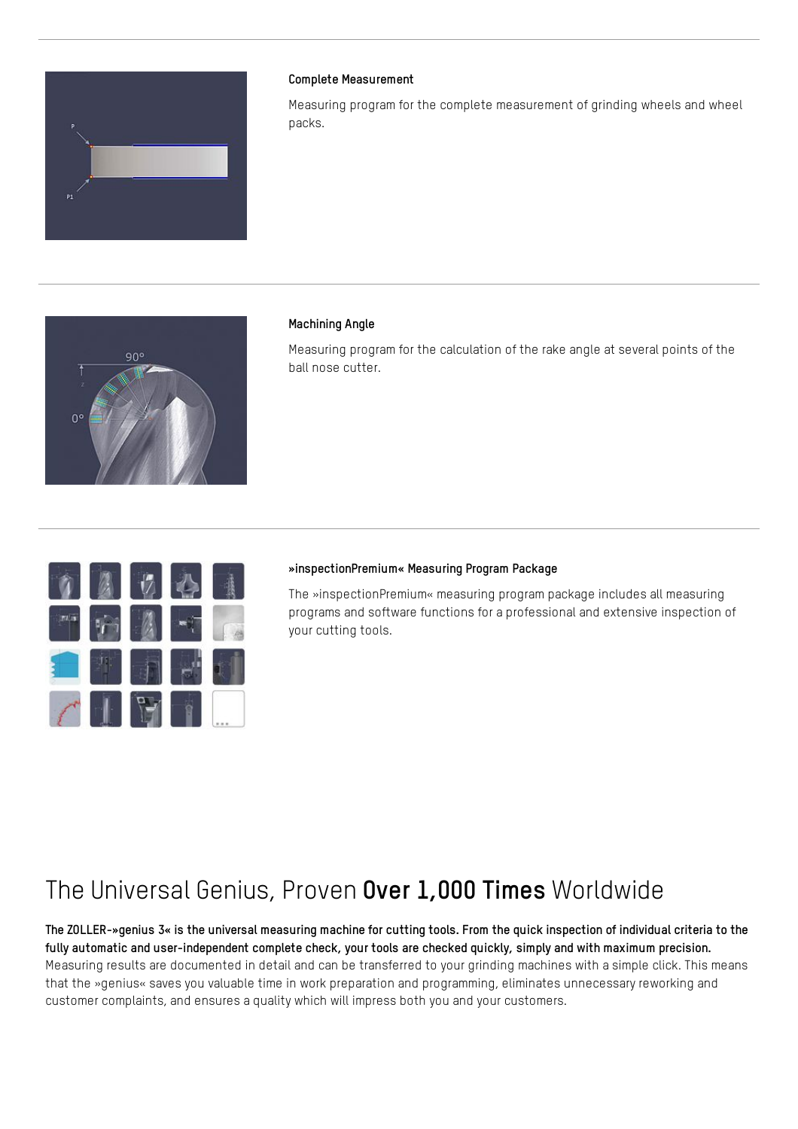

### Complete Measurement

Measuring program for the complete measurement of grinding wheels and wheel packs.



### Machining Angle

Measuring program for the calculation of the rake angle at several points of the ball nose cutter.



#### »inspectionPremium« Measuring Program Package

The »inspectionPremium« measuring program package includes all measuring programs and software functions for a professional and extensive inspection of your cutting tools.

# The Universal Genius, Proven Over 1,000 Times Worldwide

The ZOLLER-»genius 3« is the universal measuring machine for cutting tools. From the quick inspection of individual criteria to the fully automatic and user-independent complete check, your tools are checked quickly, simply and with maximum precision. Measuring results are documented in detail and can be transferred to your grinding machines with a simple click. This means that the »genius« saves you valuable time in work preparation and programming, eliminates unnecessary reworking and customer complaints, and ensures a quality which will impress both you and your customers.